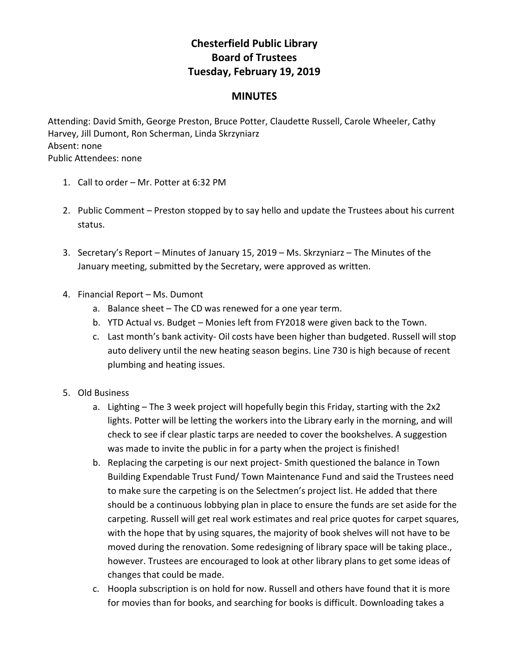## **Chesterfield Public Library Board of Trustees Tuesday, February 19, 2019**

## **MINUTES**

Attending: David Smith, George Preston, Bruce Potter, Claudette Russell, Carole Wheeler, Cathy Harvey, Jill Dumont, Ron Scherman, Linda Skrzyniarz Absent: none Public Attendees: none

- 1. Call to order Mr. Potter at 6:32 PM
- 2. Public Comment Preston stopped by to say hello and update the Trustees about his current status.
- 3. Secretary's Report Minutes of January 15, 2019 Ms. Skrzyniarz The Minutes of the January meeting, submitted by the Secretary, were approved as written.
- 4. Financial Report Ms. Dumont
	- a. Balance sheet The CD was renewed for a one year term.
	- b. YTD Actual vs. Budget Monies left from FY2018 were given back to the Town.
	- c. Last month's bank activity- Oil costs have been higher than budgeted. Russell will stop auto delivery until the new heating season begins. Line 730 is high because of recent plumbing and heating issues.
- 5. Old Business
	- a. Lighting The 3 week project will hopefully begin this Friday, starting with the 2x2 lights. Potter will be letting the workers into the Library early in the morning, and will check to see if clear plastic tarps are needed to cover the bookshelves. A suggestion was made to invite the public in for a party when the project is finished!
	- b. Replacing the carpeting is our next project- Smith questioned the balance in Town Building Expendable Trust Fund/ Town Maintenance Fund and said the Trustees need to make sure the carpeting is on the Selectmen's project list. He added that there should be a continuous lobbying plan in place to ensure the funds are set aside for the carpeting. Russell will get real work estimates and real price quotes for carpet squares, with the hope that by using squares, the majority of book shelves will not have to be moved during the renovation. Some redesigning of library space will be taking place., however. Trustees are encouraged to look at other library plans to get some ideas of changes that could be made.
	- c. Hoopla subscription is on hold for now. Russell and others have found that it is more for movies than for books, and searching for books is difficult. Downloading takes a